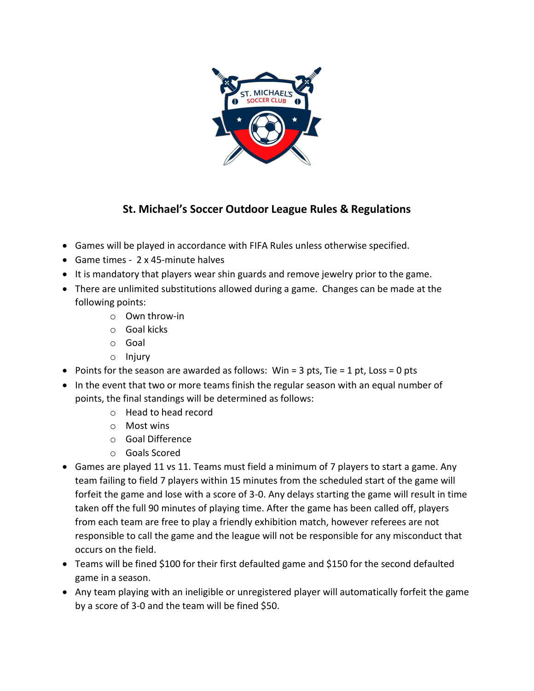

## **St. Michael's Soccer Outdoor League Rules & Regulations**

- Games will be played in accordance with FIFA Rules unless otherwise specified.
- Game times 2 x 45-minute halves
- It is mandatory that players wear shin guards and remove jewelry prior to the game.
- There are unlimited substitutions allowed during a game. Changes can be made at the following points:
	- o Own throw-in
	- o Goal kicks
	- o Goal
	- o Injury
- Points for the season are awarded as follows: Win = 3 pts, Tie = 1 pt, Loss = 0 pts
- In the event that two or more teams finish the regular season with an equal number of points, the final standings will be determined as follows:
	- o Head to head record
	- o Most wins
	- o Goal Difference
	- o Goals Scored
- Games are played 11 vs 11. Teams must field a minimum of 7 players to start a game. Any team failing to field 7 players within 15 minutes from the scheduled start of the game will forfeit the game and lose with a score of 3-0. Any delays starting the game will result in time taken off the full 90 minutes of playing time. After the game has been called off, players from each team are free to play a friendly exhibition match, however referees are not responsible to call the game and the league will not be responsible for any misconduct that occurs on the field.
- Teams will be fined \$100 for their first defaulted game and \$150 for the second defaulted game in a season.
- Any team playing with an ineligible or unregistered player will automatically forfeit the game by a score of 3-0 and the team will be fined \$50.